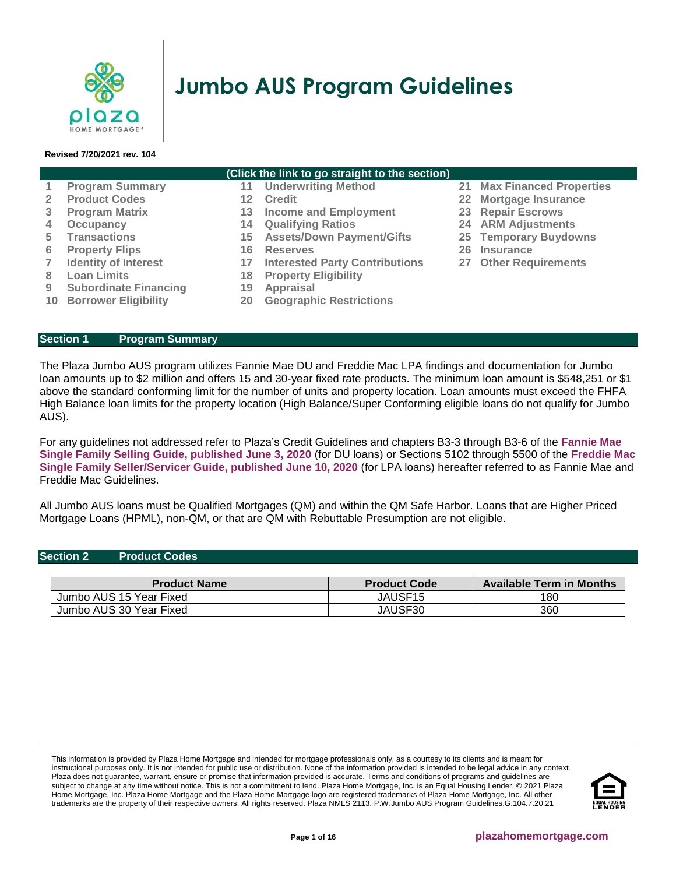

# **Jumbo AUS Program Guidelines**

#### **Revised 7/20/2021 rev. 104**

#### **(Click the link to go straight to the section)**

- 
- 
- **3 [Program Matrix](#page-1-0) 13 [Income and Employment](#page-7-0) 23 [Repair Escrows](#page-14-2)**
- **4 [Occupancy](#page-2-0) 14 [Qualifying Ratios](#page-10-0) 24 [ARM Adjustments](#page-14-3)**
- **5 [Transactions](#page-2-1) 15 [Assets/Down Payment/Gifts](#page-11-0) 25 [Temporary Buydowns](#page-15-0)**
	-
- **7 [Identity of Interest](#page-4-1) 17 [Interested Party Contributions](#page-11-2) 27 [Other Requirements](#page-15-2)**
- **8 [Loan Limits](#page-5-0) 18 [Property Eligibility](#page-12-0)**
- **9 [Subordinate Financing](#page-5-1) 19 [Appraisal](#page-13-0)**
- **10 [Borrower Eligibility](#page-5-2) 20 [Geographic Restrictions](#page-14-4)**
- **1 [Program Summary](#page-0-0) 11 [Underwriting Method](#page-6-0) 21 [Max Financed Properties](#page-14-0)**
- **2 [Product Codes](#page-0-1) 12 [Credit](#page-6-1) 22 [Mortgage Insurance](#page-14-1)**
	-
	-
	-
- **6 [Property Flips](#page-4-0) 16 [Reserves](#page-11-1) 26 [Insurance](#page-15-1)**
	-

<span id="page-0-0"></span>**Section 1 [Program Summary](#page-0-0)**

The Plaza Jumbo AUS program utilizes Fannie Mae DU and Freddie Mac LPA findings and documentation for Jumbo loan amounts up to \$2 million and offers 15 and 30-year fixed rate products. The minimum loan amount is \$548,251 or \$1 above the standard conforming limit for the number of units and property location. Loan amounts must exceed the FHFA High Balance loan limits for the property location (High Balance/Super Conforming eligible loans do not qualify for Jumbo AUS).

For any guidelines not addressed refer to Plaza's Credit Guidelines and chapters B3-3 through B3-6 of the **[Fannie Mae](https://f.hubspotusercontent10.net/hubfs/5238866/Program%20Updates/Fannie%20Mae%20Selling%20Guide%20June%202020_B3-3to3-6.pdf)  Single Family [Selling Guide, published June 3, 2020](https://f.hubspotusercontent10.net/hubfs/5238866/Program%20Updates/Fannie%20Mae%20Selling%20Guide%20June%202020_B3-3to3-6.pdf)** (for DU loans) or Sections 5102 through 5500 of the **[Freddie Mac](https://f.hubspotusercontent10.net/hubfs/5238866/Program%20Updates/Freddie%20Mac%20Seller%20Servicer%20Guide_06.24.20.pdf)  Single [Family Seller/Servicer Guide, published June 10, 2020](https://f.hubspotusercontent10.net/hubfs/5238866/Program%20Updates/Freddie%20Mac%20Seller%20Servicer%20Guide_06.24.20.pdf)** (for LPA loans) hereafter referred to as Fannie Mae and Freddie Mac Guidelines.

All Jumbo AUS loans must be Qualified Mortgages (QM) and within the QM Safe Harbor. Loans that are Higher Priced Mortgage Loans (HPML), non-QM, or that are QM with Rebuttable Presumption are not eligible.

## <span id="page-0-1"></span>**Section 2 Product Codes**

| <b>Product Name</b>     | <b>Product Code</b> | <b>Available Term in Months</b> |
|-------------------------|---------------------|---------------------------------|
| Jumbo AUS 15 Year Fixed | JAUSF15             | 180                             |
| Jumbo AUS 30 Year Fixed | JAUSF30             | 360                             |

This information is provided by Plaza Home Mortgage and intended for mortgage professionals only, as a courtesy to its clients and is meant for instructional purposes only. It is not intended for public use or distribution. None of the information provided is intended to be legal advice in any context. Plaza does not guarantee, warrant, ensure or promise that information provided is accurate. Terms and conditions of programs and guidelines are subject to change at any time without notice. This is not a commitment to lend. Plaza Home Mortgage, Inc. is an Equal Housing Lender. © 2021 Plaza Home Mortgage, Inc. Plaza Home Mortgage and the Plaza Home Mortgage logo are registered trademarks of Plaza Home Mortgage, Inc. All other trademarks are the property of their respective owners. All rights reserved. Plaza NMLS 2113. P.W.Jumbo AUS Program Guidelines.G.104.7.20.21

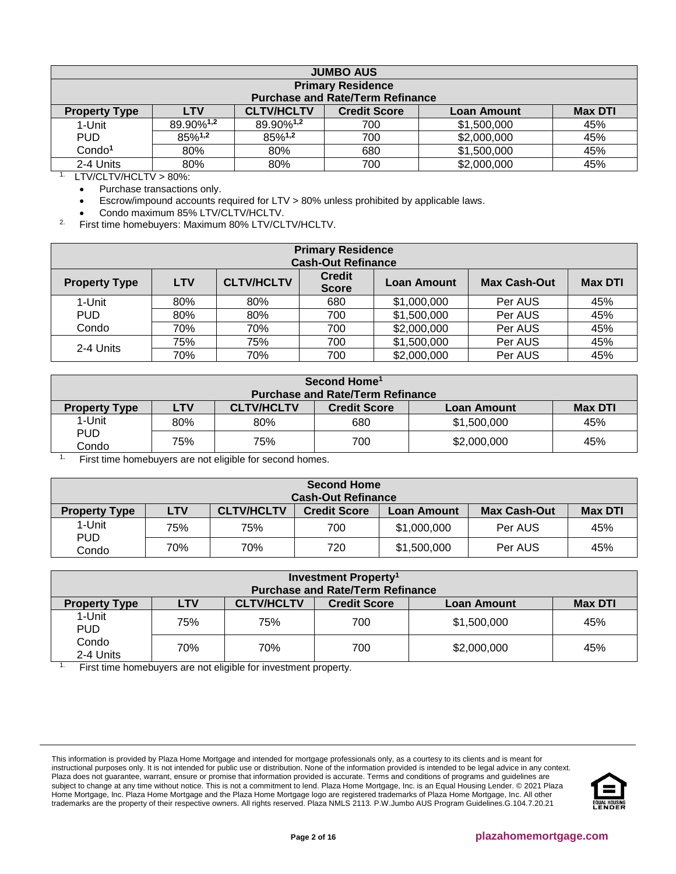<span id="page-1-0"></span>

| <b>JUMBO AUS</b>     |                                                                                                |                       |                                         |             |     |  |
|----------------------|------------------------------------------------------------------------------------------------|-----------------------|-----------------------------------------|-------------|-----|--|
|                      | <b>Primary Residence</b>                                                                       |                       |                                         |             |     |  |
|                      |                                                                                                |                       | <b>Purchase and Rate/Term Refinance</b> |             |     |  |
| <b>Property Type</b> | <b>CLTV/HCLTV</b><br><b>Credit Score</b><br><b>Max DTI</b><br><b>LTV</b><br><b>Loan Amount</b> |                       |                                         |             |     |  |
| 1-Unit               | 89.90%1,2                                                                                      | 89.90%1,2             | 700                                     | \$1,500,000 | 45% |  |
| <b>PUD</b>           | 85%1,2                                                                                         | $85\%$ <sup>1,2</sup> | 700                                     | \$2,000,000 | 45% |  |
| Condo <sup>1</sup>   | 80%                                                                                            | 80%                   | 680                                     | \$1,500,000 | 45% |  |
| 2-4 Units            | 80%                                                                                            | 80%                   | 700                                     | \$2,000,000 | 45% |  |

1. LTV/CLTV/HCLTV > 80%:

• Purchase transactions only.

• Escrow/impound accounts required for LTV > 80% unless prohibited by applicable laws.

• Condo maximum 85% LTV/CLTV/HCLTV.

2. First time homebuyers: Maximum 80% LTV/CLTV/HCLTV.

| <b>Primary Residence</b><br><b>Cash-Out Refinance</b>                                                                                 |     |     |     |             |                |     |
|---------------------------------------------------------------------------------------------------------------------------------------|-----|-----|-----|-------------|----------------|-----|
| <b>Credit</b><br><b>CLTV/HCLTV</b><br><b>LTV</b><br><b>Max Cash-Out</b><br><b>Loan Amount</b><br><b>Property Type</b><br><b>Score</b> |     |     |     |             | <b>Max DTI</b> |     |
| 1-Unit                                                                                                                                | 80% | 80% | 680 | \$1,000,000 | Per AUS        | 45% |
| <b>PUD</b>                                                                                                                            | 80% | 80% | 700 | \$1,500,000 | Per AUS        | 45% |
| Condo                                                                                                                                 | 70% | 70% | 700 | \$2,000,000 | Per AUS        | 45% |
| 2-4 Units                                                                                                                             | 75% | 75% | 700 | \$1,500,000 | Per AUS        | 45% |
|                                                                                                                                       | 70% | 70% | 700 | \$2,000,000 | Per AUS        | 45% |

| Second Home <sup>1</sup><br><b>Purchase and Rate/Term Refinance</b> |                                                                                         |     |     |             |     |
|---------------------------------------------------------------------|-----------------------------------------------------------------------------------------|-----|-----|-------------|-----|
| <b>Property Type</b>                                                | <b>CLTV/HCLTV</b><br><b>LTV</b><br><b>Credit Score</b><br><b>Max DTI</b><br>Loan Amount |     |     |             |     |
| 1-Unit                                                              | 80%                                                                                     | 80% | 680 | \$1,500,000 | 45% |
| <b>PUD</b><br>Condo                                                 | 75%                                                                                     | 75% | 700 | \$2,000,000 | 45% |

<sup>1.</sup> First time homebuyers are not eligible for second homes.

| Second Home<br><b>Cash-Out Refinance</b> |            |                   |                     |                    |                     |                |
|------------------------------------------|------------|-------------------|---------------------|--------------------|---------------------|----------------|
| <b>Property Type</b>                     | <b>LTV</b> | <b>CLTV/HCLTV</b> | <b>Credit Score</b> | <b>Loan Amount</b> | <b>Max Cash-Out</b> | <b>Max DTI</b> |
| 1-Unit                                   | 75%        | 75%               | 700                 | \$1,000,000        | Per AUS             | 45%            |
| <b>PUD</b><br>Condo                      | 70%        | 70%               | 720                 | \$1,500,000        | Per AUS             | 45%            |

| <b>Investment Property</b> <sup>1</sup><br><b>Purchase and Rate/Term Refinance</b> |                                                                                         |     |     |             |     |  |
|------------------------------------------------------------------------------------|-----------------------------------------------------------------------------------------|-----|-----|-------------|-----|--|
| <b>Property Type</b>                                                               | <b>CLTV/HCLTV</b><br><b>Credit Score</b><br><b>Max DTI</b><br><b>LTV</b><br>Loan Amount |     |     |             |     |  |
| 1-Unit<br><b>PUD</b>                                                               | 75%                                                                                     | 75% | 700 | \$1,500,000 | 45% |  |
| Condo<br>2-4 Units                                                                 | 70%                                                                                     | 70% | 700 | \$2,000,000 | 45% |  |

<sup>1.</sup> First time homebuyers are not eligible for investment property.

This information is provided by Plaza Home Mortgage and intended for mortgage professionals only, as a courtesy to its clients and is meant for instructional purposes only. It is not intended for public use or distribution. None of the information provided is intended to be legal advice in any context. Plaza does not guarantee, warrant, ensure or promise that information provided is accurate. Terms and conditions of programs and guidelines are subject to change at any time without notice. This is not a commitment to lend. Plaza Home Mortgage, Inc. is an Equal Housing Lender. © 2021 Plaza Home Mortgage, Inc. Plaza Home Mortgage and the Plaza Home Mortgage logo are registered trademarks of Plaza Home Mortgage, Inc. All other trademarks are the property of their respective owners. All rights reserved. Plaza NMLS 2113. P.W.Jumbo AUS Program Guidelines.G.104.7.20.21

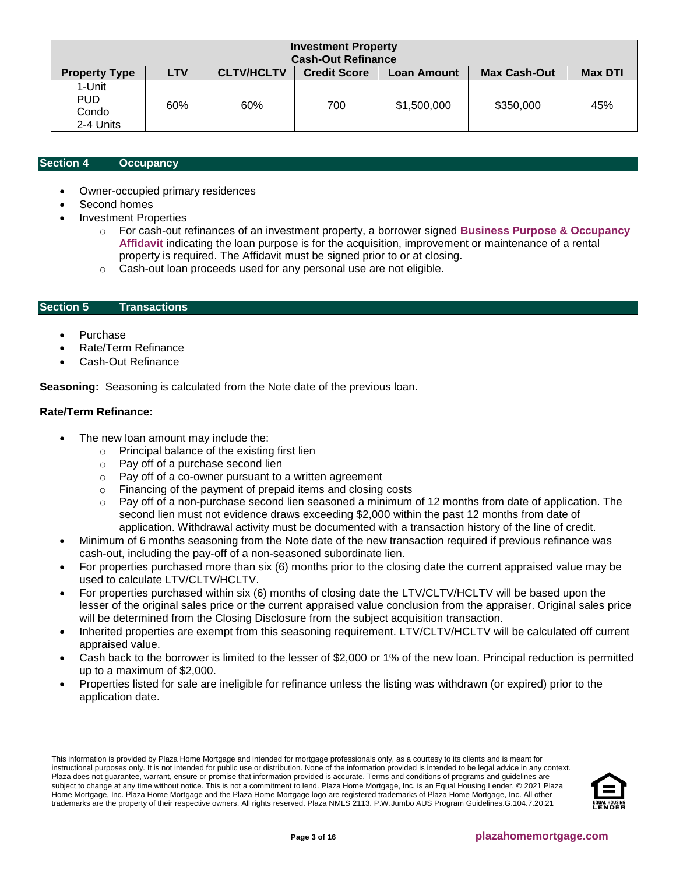| <b>Investment Property</b><br><b>Cash-Out Refinance</b> |                                                                                                                       |     |     |             |           |     |
|---------------------------------------------------------|-----------------------------------------------------------------------------------------------------------------------|-----|-----|-------------|-----------|-----|
| <b>Property Type</b>                                    | <b>CLTV/HCLTV</b><br><b>Max DTI</b><br><b>LTV</b><br><b>Credit Score</b><br><b>Max Cash-Out</b><br><b>Loan Amount</b> |     |     |             |           |     |
| 1-Unit<br><b>PUD</b><br>Condo<br>2-4 Units              | 60%                                                                                                                   | 60% | 700 | \$1,500,000 | \$350,000 | 45% |

# <span id="page-2-0"></span>**Section 4 [Occupancy](#page-5-0)**

- Owner-occupied primary residences
- Second homes
- Investment Properties
	- o For cash-out refinances of an investment property, a borrower signed **[Business Purpose & Occupancy](https://f.hubspotusercontent10.net/hubfs/5238866/Program%20Updates/Business%20Purpose%20and%20Occupancy%20Affidavit.pdf)  [Affidavit](https://f.hubspotusercontent10.net/hubfs/5238866/Program%20Updates/Business%20Purpose%20and%20Occupancy%20Affidavit.pdf)** indicating the loan purpose is for the acquisition, improvement or maintenance of a rental property is required. The Affidavit must be signed prior to or at closing.
	- o Cash-out loan proceeds used for any personal use are not eligible.

## <span id="page-2-1"></span>**Section 5 Transactions**

- **Purchase**
- Rate/Term Refinance
- Cash-Out Refinance

**Seasoning:** Seasoning is calculated from the Note date of the previous loan.

## **Rate/Term Refinance:**

- The new loan amount may include the:
	- o Principal balance of the existing first lien
	- o Pay off of a purchase second lien
	- o Pay off of a co-owner pursuant to a written agreement
	- o Financing of the payment of prepaid items and closing costs
	- $\circ$  Pay off of a non-purchase second lien seasoned a minimum of 12 months from date of application. The second lien must not evidence draws exceeding \$2,000 within the past 12 months from date of application. Withdrawal activity must be documented with a transaction history of the line of credit.
- Minimum of 6 months seasoning from the Note date of the new transaction required if previous refinance was cash-out, including the pay-off of a non-seasoned subordinate lien.
- For properties purchased more than six (6) months prior to the closing date the current appraised value may be used to calculate LTV/CLTV/HCLTV.
- For properties purchased within six (6) months of closing date the LTV/CLTV/HCLTV will be based upon the lesser of the original sales price or the current appraised value conclusion from the appraiser. Original sales price will be determined from the Closing Disclosure from the subject acquisition transaction.
- Inherited properties are exempt from this seasoning requirement. LTV/CLTV/HCLTV will be calculated off current appraised value.
- Cash back to the borrower is limited to the lesser of \$2,000 or 1% of the new loan. Principal reduction is permitted up to a maximum of \$2,000.
- Properties listed for sale are ineligible for refinance unless the listing was withdrawn (or expired) prior to the application date.

This information is provided by Plaza Home Mortgage and intended for mortgage professionals only, as a courtesy to its clients and is meant for instructional purposes only. It is not intended for public use or distribution. None of the information provided is intended to be legal advice in any context. Plaza does not guarantee, warrant, ensure or promise that information provided is accurate. Terms and conditions of programs and guidelines are subject to change at any time without notice. This is not a commitment to lend. Plaza Home Mortgage, Inc. is an Equal Housing Lender. © 2021 Plaza Home Mortgage, Inc. Plaza Home Mortgage and the Plaza Home Mortgage logo are registered trademarks of Plaza Home Mortgage, Inc. All other trademarks are the property of their respective owners. All rights reserved. Plaza NMLS 2113. P.W.Jumbo AUS Program Guidelines.G.104.7.20.21

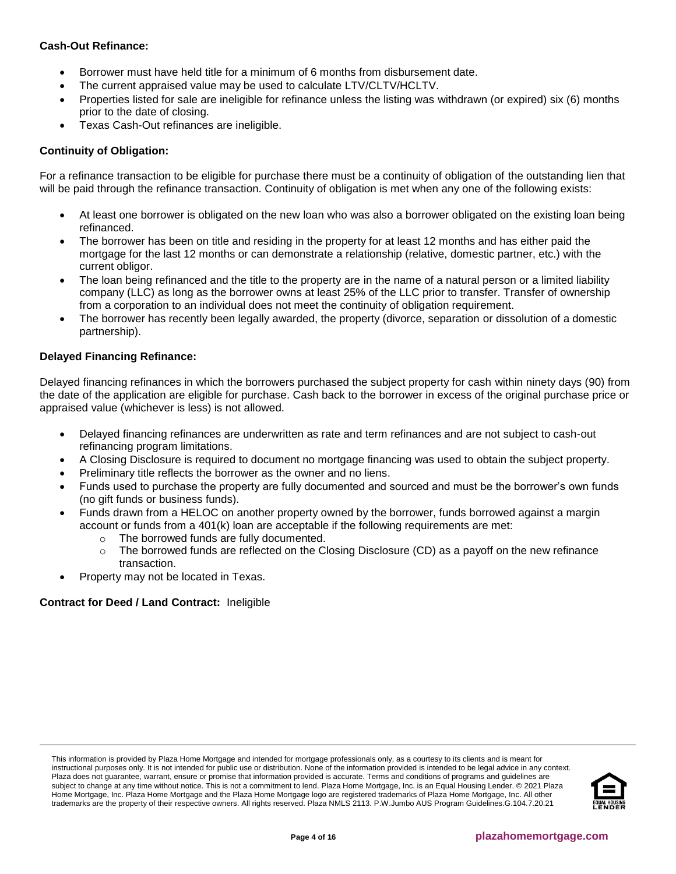# **Cash-Out Refinance:**

- Borrower must have held title for a minimum of 6 months from disbursement date.
- The current appraised value may be used to calculate LTV/CLTV/HCLTV.
- Properties listed for sale are ineligible for refinance unless the listing was withdrawn (or expired) six (6) months prior to the date of closing.
- Texas Cash-Out refinances are ineligible.

# **Continuity of Obligation:**

For a refinance transaction to be eligible for purchase there must be a continuity of obligation of the outstanding lien that will be paid through the refinance transaction. Continuity of obligation is met when any one of the following exists:

- At least one borrower is obligated on the new loan who was also a borrower obligated on the existing loan being refinanced.
- The borrower has been on title and residing in the property for at least 12 months and has either paid the mortgage for the last 12 months or can demonstrate a relationship (relative, domestic partner, etc.) with the current obligor.
- The loan being refinanced and the title to the property are in the name of a natural person or a limited liability company (LLC) as long as the borrower owns at least 25% of the LLC prior to transfer. Transfer of ownership from a corporation to an individual does not meet the continuity of obligation requirement.
- The borrower has recently been legally awarded, the property (divorce, separation or dissolution of a domestic partnership).

# **Delayed Financing Refinance:**

Delayed financing refinances in which the borrowers purchased the subject property for cash within ninety days (90) from the date of the application are eligible for purchase. Cash back to the borrower in excess of the original purchase price or appraised value (whichever is less) is not allowed.

- Delayed financing refinances are underwritten as rate and term refinances and are not subject to cash-out refinancing program limitations.
- A Closing Disclosure is required to document no mortgage financing was used to obtain the subject property.
- Preliminary title reflects the borrower as the owner and no liens.
- Funds used to purchase the property are fully documented and sourced and must be the borrower's own funds (no gift funds or business funds).
- Funds drawn from a HELOC on another property owned by the borrower, funds borrowed against a margin account or funds from a 401(k) loan are acceptable if the following requirements are met:
	- o The borrowed funds are fully documented.
	- $\circ$  The borrowed funds are reflected on the Closing Disclosure (CD) as a payoff on the new refinance transaction.
- Property may not be located in Texas.

# **Contract for Deed / Land Contract:** Ineligible

This information is provided by Plaza Home Mortgage and intended for mortgage professionals only, as a courtesy to its clients and is meant for instructional purposes only. It is not intended for public use or distribution. None of the information provided is intended to be legal advice in any context. Plaza does not guarantee, warrant, ensure or promise that information provided is accurate. Terms and conditions of programs and guidelines are subject to change at any time without notice. This is not a commitment to lend. Plaza Home Mortgage, Inc. is an Equal Housing Lender. © 2021 Plaza Home Mortgage, Inc. Plaza Home Mortgage and the Plaza Home Mortgage logo are registered trademarks of Plaza Home Mortgage, Inc. All other trademarks are the property of their respective owners. All rights reserved. Plaza NMLS 2113. P.W.Jumbo AUS Program Guidelines.G.104.7.20.21

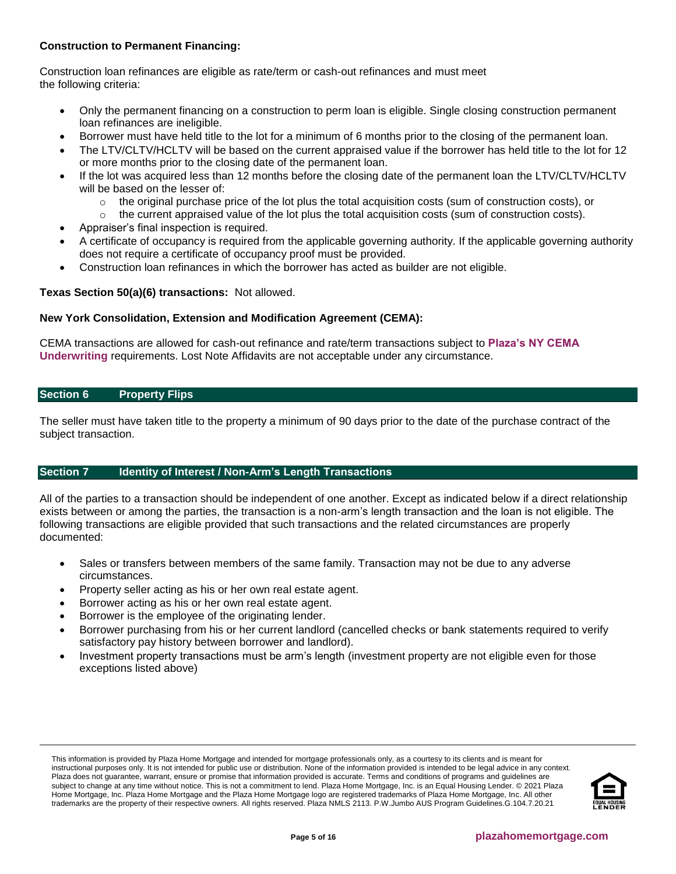# **Construction to Permanent Financing:**

Construction loan refinances are eligible as rate/term or cash-out refinances and must meet the following criteria:

- Only the permanent financing on a construction to perm loan is eligible. Single closing construction permanent loan refinances are ineligible.
- Borrower must have held title to the lot for a minimum of 6 months prior to the closing of the permanent loan.
- The LTV/CLTV/HCLTV will be based on the current appraised value if the borrower has held title to the lot for 12 or more months prior to the closing date of the permanent loan.
- If the lot was acquired less than 12 months before the closing date of the permanent loan the LTV/CLTV/HCLTV will be based on the lesser of:
	- $\circ$  the original purchase price of the lot plus the total acquisition costs (sum of construction costs), or
	- $\circ$  the current appraised value of the lot plus the total acquisition costs (sum of construction costs).
- Appraiser's final inspection is required.
- A certificate of occupancy is required from the applicable governing authority. If the applicable governing authority does not require a certificate of occupancy proof must be provided.
- Construction loan refinances in which the borrower has acted as builder are not eligible.

## **Texas Section 50(a)(6) transactions:** Not allowed.

## **New York Consolidation, Extension and Modification Agreement (CEMA):**

CEMA transactions are allowed for cash-out refinance and rate/term transactions subject to **[Plaza's NY CEMA](https://resourcecenter.plazahomemortgage.com/phmidocpublisher.nsf/All/9384F0C91F00A1C088257F630077E55B?OpenDocument)  [Underwriting](https://resourcecenter.plazahomemortgage.com/phmidocpublisher.nsf/All/9384F0C91F00A1C088257F630077E55B?OpenDocument)** requirements. Lost Note Affidavits are not acceptable under any circumstance.

## <span id="page-4-0"></span>**Section 6 Property Flips**

The seller must have taken title to the property a minimum of 90 days prior to the date of the purchase contract of the subject transaction.

## <span id="page-4-1"></span>**Section 7 Identity of Interest / Non-Arm's Length Transactions**

All of the parties to a transaction should be independent of one another. Except as indicated below if a direct relationship exists between or among the parties, the transaction is a non-arm's length transaction and the loan is not eligible. The following transactions are eligible provided that such transactions and the related circumstances are properly documented:

- Sales or transfers between members of the same family. Transaction may not be due to any adverse circumstances.
- Property seller acting as his or her own real estate agent.
- Borrower acting as his or her own real estate agent.
- Borrower is the employee of the originating lender.
- Borrower purchasing from his or her current landlord (cancelled checks or bank statements required to verify satisfactory pay history between borrower and landlord).
- Investment property transactions must be arm's length (investment property are not eligible even for those exceptions listed above)

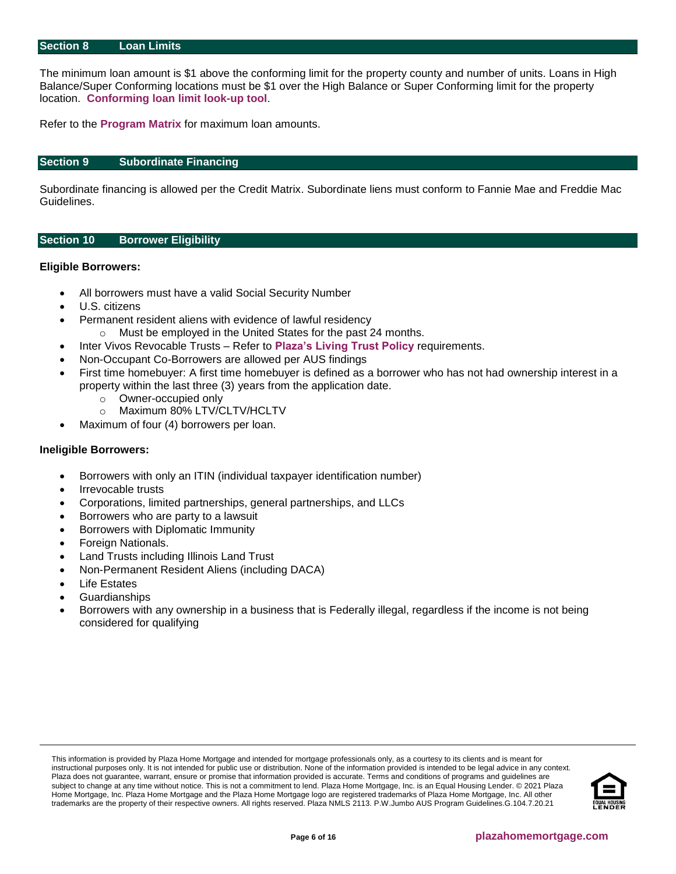#### <span id="page-5-0"></span>**Section 8 Loan Limits**

The minimum loan amount is \$1 above the conforming limit for the property county and number of units. Loans in High Balance/Super Conforming locations must be \$1 over the High Balance or Super Conforming limit for the property location. **[Conforming loan limit look-up tool](https://www.fanniemae.com/singlefamily/loan-limits)**.

Refer to the **[Program Matrix](#page-1-0)** for maximum loan amounts.

#### <span id="page-5-1"></span>**Section 9 Subordinate Financing**

Subordinate financing is allowed per the Credit Matrix. Subordinate liens must conform to Fannie Mae and Freddie Mac Guidelines.

#### <span id="page-5-2"></span>**Section 10 Borrower Eligibility**

#### **Eligible Borrowers:**

- All borrowers must have a valid Social Security Number
- U.S. citizens
- Permanent resident aliens with evidence of lawful residency
	- o Must be employed in the United States for the past 24 months.
- Inter Vivos Revocable Trusts Refer to **[Plaza's Living Trust Policy](https://resourcecenter.plazahomemortgage.com/phmidocpublisher.nsf/All/2C8D5371893995E807257B66007577A4?OpenDocument)** requirements.
- Non-Occupant Co-Borrowers are allowed per AUS findings
- First time homebuyer: A first time homebuyer is defined as a borrower who has not had ownership interest in a property within the last three (3) years from the application date.
	- o Owner-occupied only
	- o Maximum 80% LTV/CLTV/HCLTV
- Maximum of four (4) borrowers per loan.

#### **Ineligible Borrowers:**

- Borrowers with only an ITIN (individual taxpayer identification number)
- Irrevocable trusts
- Corporations, limited partnerships, general partnerships, and LLCs
- Borrowers who are party to a lawsuit
- Borrowers with Diplomatic Immunity
- Foreign Nationals.
- Land Trusts including Illinois Land Trust
- Non-Permanent Resident Aliens (including DACA)
- **Life Estates**
- **Guardianships**
- Borrowers with any ownership in a business that is Federally illegal, regardless if the income is not being considered for qualifying

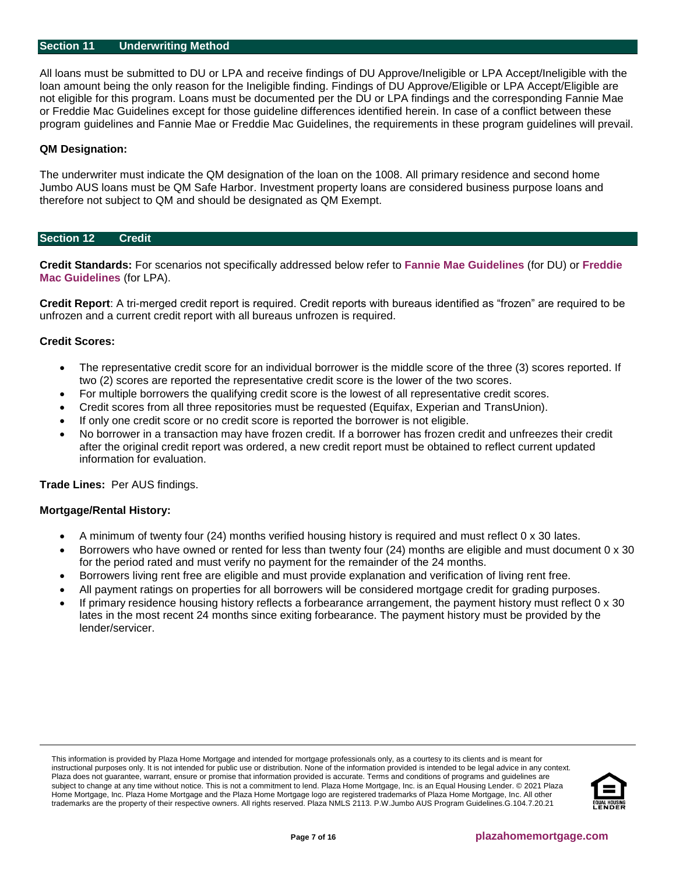## <span id="page-6-0"></span>**Section 11 [Underwriting Method](#page-6-0)**

All loans must be submitted to DU or LPA and receive findings of DU Approve/Ineligible or LPA Accept/Ineligible with the loan amount being the only reason for the Ineligible finding. Findings of DU Approve/Eligible or LPA Accept/Eligible are not eligible for this program. Loans must be documented per the DU or LPA findings and the corresponding Fannie Mae or Freddie Mac Guidelines except for those guideline differences identified herein. In case of a conflict between these program guidelines and Fannie Mae or Freddie Mac Guidelines, the requirements in these program guidelines will prevail.

## **QM Designation:**

The underwriter must indicate the QM designation of the loan on the 1008. All primary residence and second home Jumbo AUS loans must be QM Safe Harbor. Investment property loans are considered business purpose loans and therefore not subject to QM and should be designated as QM Exempt.

## <span id="page-6-1"></span>**Section 12 Credit**

**Credit Standards:** For scenarios not specifically addressed below refer to **[Fannie Mae Guidelines](https://f.hubspotusercontent10.net/hubfs/5238866/Program%20Updates/Fannie%20Mae%20Selling%20Guide%20June%202020_B3-3to3-6.pdf)** (for DU) or **[Freddie](https://f.hubspotusercontent10.net/hubfs/5238866/Program%20Updates/Freddie%20Mac%20Seller%20Servicer%20Guide_06.24.20.pdf)  [Mac Guidelines](https://f.hubspotusercontent10.net/hubfs/5238866/Program%20Updates/Freddie%20Mac%20Seller%20Servicer%20Guide_06.24.20.pdf)** (for LPA).

**Credit Report**: A tri-merged credit report is required. Credit reports with bureaus identified as "frozen" are required to be unfrozen and a current credit report with all bureaus unfrozen is required.

#### **Credit Scores:**

- The representative credit score for an individual borrower is the middle score of the three (3) scores reported. If two (2) scores are reported the representative credit score is the lower of the two scores.
- For multiple borrowers the qualifying credit score is the lowest of all representative credit scores.
- Credit scores from all three repositories must be requested (Equifax, Experian and TransUnion).
- If only one credit score or no credit score is reported the borrower is not eligible.
- No borrower in a transaction may have frozen credit. If a borrower has frozen credit and unfreezes their credit after the original credit report was ordered, a new credit report must be obtained to reflect current updated information for evaluation.

**Trade Lines:** Per AUS findings.

## **Mortgage/Rental History:**

- A minimum of twenty four (24) months verified housing history is required and must reflect 0 x 30 lates.
- Borrowers who have owned or rented for less than twenty four (24) months are eligible and must document 0 x 30 for the period rated and must verify no payment for the remainder of the 24 months.
- Borrowers living rent free are eligible and must provide explanation and verification of living rent free.
- All payment ratings on properties for all borrowers will be considered mortgage credit for grading purposes.
- If primary residence housing history reflects a forbearance arrangement, the payment history must reflect 0 x 30 lates in the most recent 24 months since exiting forbearance. The payment history must be provided by the lender/servicer.

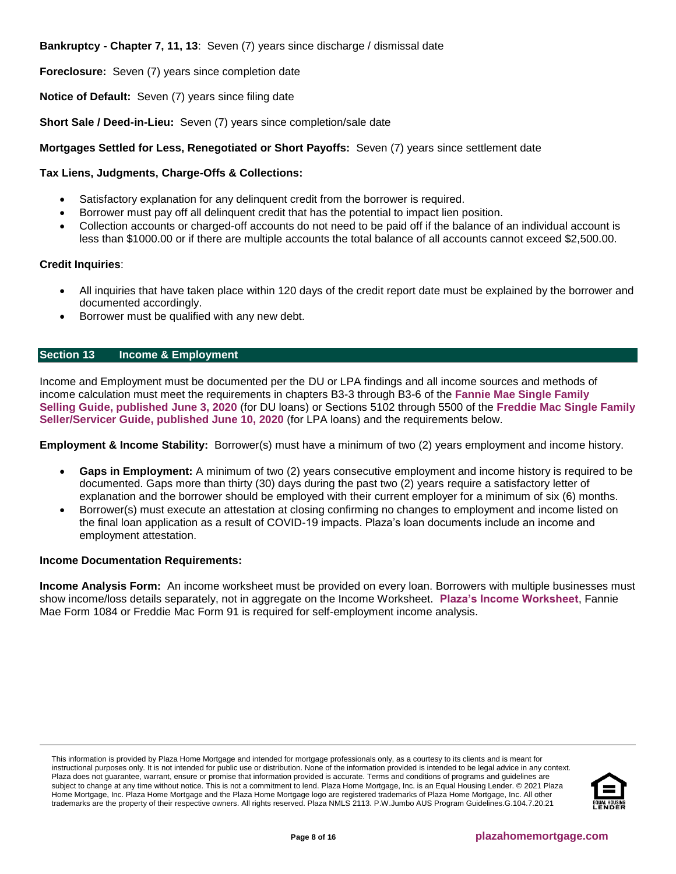**Bankruptcy - Chapter 7, 11, 13**: Seven (7) years since discharge / dismissal date

**Foreclosure:** Seven (7) years since completion date

**Notice of Default:** Seven (7) years since filing date

**Short Sale / Deed-in-Lieu:** Seven (7) years since completion/sale date

# **Mortgages Settled for Less, Renegotiated or Short Payoffs:** Seven (7) years since settlement date

# **Tax Liens, Judgments, Charge-Offs & Collections:**

- Satisfactory explanation for any delinquent credit from the borrower is required.
- Borrower must pay off all delinquent credit that has the potential to impact lien position.
- Collection accounts or charged-off accounts do not need to be paid off if the balance of an individual account is less than \$1000.00 or if there are multiple accounts the total balance of all accounts cannot exceed \$2,500.00.

## **Credit Inquiries**:

- All inquiries that have taken place within 120 days of the credit report date must be explained by the borrower and documented accordingly.
- Borrower must be qualified with any new debt.

# <span id="page-7-0"></span>**Section 13 Income & Employment**

Income and Employment must be documented per the DU or LPA findings and all income sources and methods of income calculation must meet the requirements in chapters B3-3 through B3-6 of the **[Fannie Mae Single Family](https://f.hubspotusercontent10.net/hubfs/5238866/Program%20Updates/Fannie%20Mae%20Selling%20Guide%20June%202020_B3-3to3-6.pdf) [Selling Guide, published June 3, 2020](https://f.hubspotusercontent10.net/hubfs/5238866/Program%20Updates/Fannie%20Mae%20Selling%20Guide%20June%202020_B3-3to3-6.pdf)** (for DU loans) or Sections 5102 through 5500 of the **[Freddie Mac Single](https://f.hubspotusercontent10.net/hubfs/5238866/Program%20Updates/Freddie%20Mac%20Seller%20Servicer%20Guide_06.24.20.pdf) Family [Seller/Servicer Guide, published June 10, 2020](https://f.hubspotusercontent10.net/hubfs/5238866/Program%20Updates/Freddie%20Mac%20Seller%20Servicer%20Guide_06.24.20.pdf)** (for LPA loans) and the requirements below.

**Employment & Income Stability:** Borrower(s) must have a minimum of two (2) years employment and income history.

- **Gaps in Employment:** A minimum of two (2) years consecutive employment and income history is required to be documented. Gaps more than thirty (30) days during the past two (2) years require a satisfactory letter of explanation and the borrower should be employed with their current employer for a minimum of six (6) months.
- Borrower(s) must execute an attestation at closing confirming no changes to employment and income listed on the final loan application as a result of COVID-19 impacts. Plaza's loan documents include an income and employment attestation.

## **Income Documentation Requirements:**

**Income Analysis Form:** An income worksheet must be provided on every loan. Borrowers with multiple businesses must show income/loss details separately, not in aggregate on the Income Worksheet. **[Plaza's Income Worksheet](https://resourcecenter.plazahomemortgage.com/whocli/all/7b7e6466ba576c4b88258059005aa6fd?opendocument)**, Fannie Mae Form 1084 or Freddie Mac Form 91 is required for self-employment income analysis.

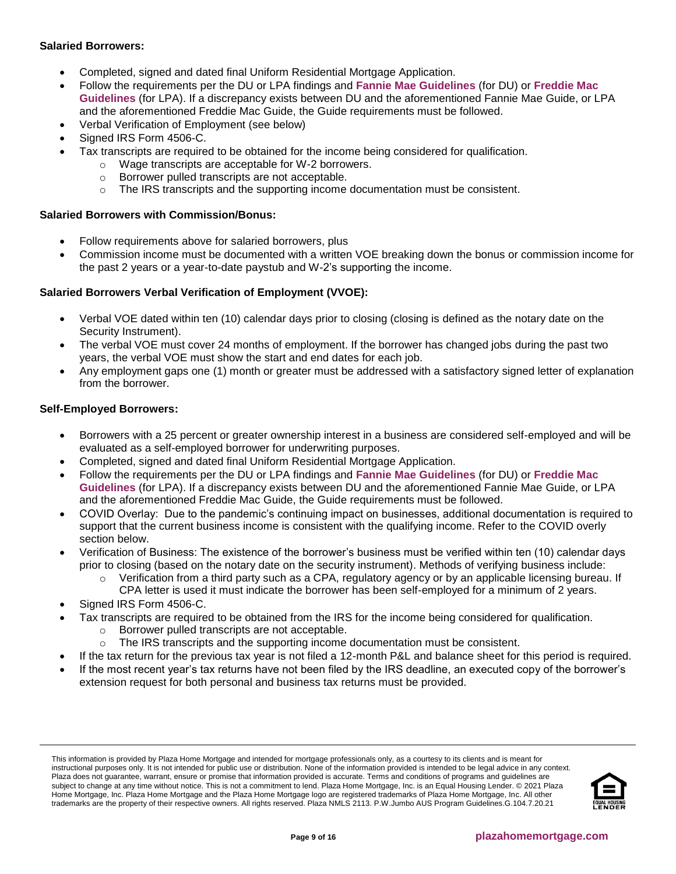# **Salaried Borrowers:**

- Completed, signed and dated final Uniform Residential Mortgage Application.
- Follow the requirements per the DU or LPA findings and **[Fannie Mae Guidelines](https://f.hubspotusercontent10.net/hubfs/5238866/Program%20Updates/Fannie%20Mae%20Selling%20Guide%20June%202020_B3-3to3-6.pdf)** (for DU) or **[Freddie Mac](https://f.hubspotusercontent10.net/hubfs/5238866/Program%20Updates/Freddie%20Mac%20Seller%20Servicer%20Guide_06.24.20.pdf)  [Guidelines](https://f.hubspotusercontent10.net/hubfs/5238866/Program%20Updates/Freddie%20Mac%20Seller%20Servicer%20Guide_06.24.20.pdf)** (for LPA). If a discrepancy exists between DU and the aforementioned Fannie Mae Guide, or LPA and the aforementioned Freddie Mac Guide, the Guide requirements must be followed.
- Verbal Verification of Employment (see below)
- Signed IRS Form 4506-C.
- Tax transcripts are required to be obtained for the income being considered for qualification.
	- o Wage transcripts are acceptable for W-2 borrowers.
	- o Borrower pulled transcripts are not acceptable.
	- $\circ$  The IRS transcripts and the supporting income documentation must be consistent.

## **Salaried Borrowers with Commission/Bonus:**

- Follow requirements above for salaried borrowers, plus
- Commission income must be documented with a written VOE breaking down the bonus or commission income for the past 2 years or a year-to-date paystub and W-2's supporting the income.

## **Salaried Borrowers Verbal Verification of Employment (VVOE):**

- Verbal VOE dated within ten (10) calendar days prior to closing (closing is defined as the notary date on the Security Instrument).
- The verbal VOE must cover 24 months of employment. If the borrower has changed jobs during the past two years, the verbal VOE must show the start and end dates for each job.
- Any employment gaps one (1) month or greater must be addressed with a satisfactory signed letter of explanation from the borrower.

## **Self-Employed Borrowers:**

- Borrowers with a 25 percent or greater ownership interest in a business are considered self-employed and will be evaluated as a self-employed borrower for underwriting purposes.
- Completed, signed and dated final Uniform Residential Mortgage Application.
- Follow the requirements per the DU or LPA findings and **[Fannie Mae Guidelines](https://f.hubspotusercontent10.net/hubfs/5238866/Program%20Updates/Fannie%20Mae%20Selling%20Guide%20June%202020_B3-3to3-6.pdf)** (for DU) or **[Freddie Mac](https://f.hubspotusercontent10.net/hubfs/5238866/Program%20Updates/Freddie%20Mac%20Seller%20Servicer%20Guide_06.24.20.pdf)  [Guidelines](https://f.hubspotusercontent10.net/hubfs/5238866/Program%20Updates/Freddie%20Mac%20Seller%20Servicer%20Guide_06.24.20.pdf)** (for LPA). If a discrepancy exists between DU and the aforementioned Fannie Mae Guide, or LPA and the aforementioned Freddie Mac Guide, the Guide requirements must be followed.
- COVID Overlay: Due to the pandemic's continuing impact on businesses, additional documentation is required to support that the current business income is consistent with the qualifying income. Refer to the COVID overly section below.
- Verification of Business: The existence of the borrower's business must be verified within ten (10) calendar days prior to closing (based on the notary date on the security instrument). Methods of verifying business include:
	- $\circ$  Verification from a third party such as a CPA, regulatory agency or by an applicable licensing bureau. If CPA letter is used it must indicate the borrower has been self-employed for a minimum of 2 years.
- Signed IRS Form 4506-C.
- Tax transcripts are required to be obtained from the IRS for the income being considered for qualification.
	- o Borrower pulled transcripts are not acceptable.
	- o The IRS transcripts and the supporting income documentation must be consistent.
- If the tax return for the previous tax year is not filed a 12-month P&L and balance sheet for this period is required.
- If the most recent year's tax returns have not been filed by the IRS deadline, an executed copy of the borrower's extension request for both personal and business tax returns must be provided.

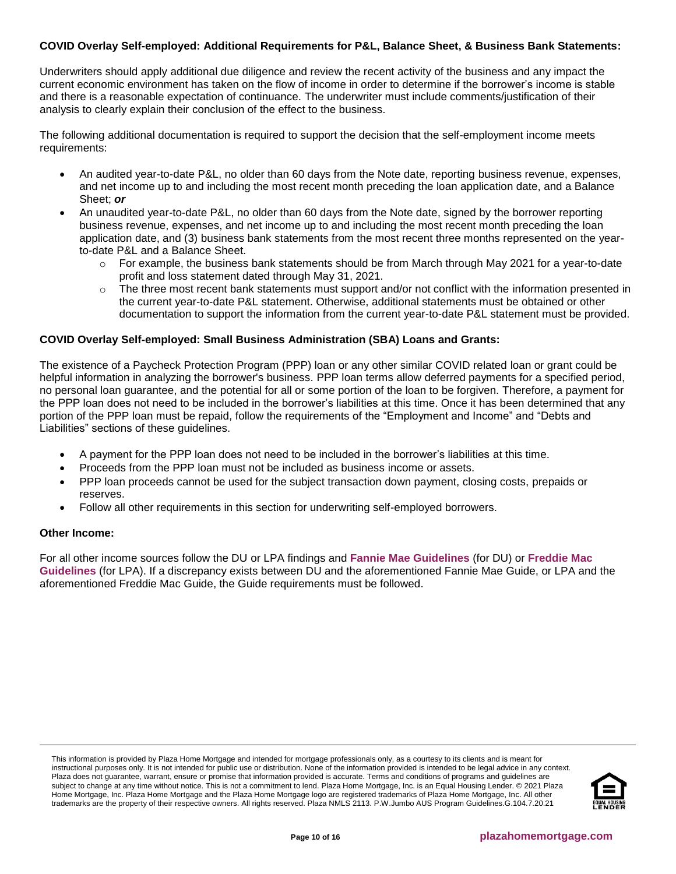# **COVID Overlay Self-employed: Additional Requirements for P&L, Balance Sheet, & Business Bank Statements:**

Underwriters should apply additional due diligence and review the recent activity of the business and any impact the current economic environment has taken on the flow of income in order to determine if the borrower's income is stable and there is a reasonable expectation of continuance. The underwriter must include comments/justification of their analysis to clearly explain their conclusion of the effect to the business.

The following additional documentation is required to support the decision that the self-employment income meets requirements:

- An audited year-to-date P&L, no older than 60 days from the Note date, reporting business revenue, expenses, and net income up to and including the most recent month preceding the loan application date, and a Balance Sheet; *or*
- An unaudited year-to-date P&L, no older than 60 days from the Note date, signed by the borrower reporting business revenue, expenses, and net income up to and including the most recent month preceding the loan application date, and (3) business bank statements from the most recent three months represented on the yearto-date P&L and a Balance Sheet.
	- $\circ$  For example, the business bank statements should be from March through May 2021 for a year-to-date profit and loss statement dated through May 31, 2021.
	- $\circ$  The three most recent bank statements must support and/or not conflict with the information presented in the current year-to-date P&L statement. Otherwise, additional statements must be obtained or other documentation to support the information from the current year-to-date P&L statement must be provided.

## **COVID Overlay Self-employed: Small Business Administration (SBA) Loans and Grants:**

The existence of a Paycheck Protection Program (PPP) loan or any other similar COVID related loan or grant could be helpful information in analyzing the borrower's business. PPP loan terms allow deferred payments for a specified period, no personal loan guarantee, and the potential for all or some portion of the loan to be forgiven. Therefore, a payment for the PPP loan does not need to be included in the borrower's liabilities at this time. Once it has been determined that any portion of the PPP loan must be repaid, follow the requirements of the "Employment and Income" and "Debts and Liabilities" sections of these guidelines.

- A payment for the PPP loan does not need to be included in the borrower's liabilities at this time.
- Proceeds from the PPP loan must not be included as business income or assets.
- PPP loan proceeds cannot be used for the subject transaction down payment, closing costs, prepaids or reserves.
- Follow all other requirements in this section for underwriting self-employed borrowers.

## **Other Income:**

For all other income sources follow the DU or LPA findings and **[Fannie Mae Guidelines](https://f.hubspotusercontent10.net/hubfs/5238866/Program%20Updates/Fannie%20Mae%20Selling%20Guide%20June%202020_B3-3to3-6.pdf)** (for DU) or **[Freddie Mac](https://f.hubspotusercontent10.net/hubfs/5238866/Program%20Updates/Freddie%20Mac%20Seller%20Servicer%20Guide_06.24.20.pdf)  [Guidelines](https://f.hubspotusercontent10.net/hubfs/5238866/Program%20Updates/Freddie%20Mac%20Seller%20Servicer%20Guide_06.24.20.pdf)** (for LPA). If a discrepancy exists between DU and the aforementioned Fannie Mae Guide, or LPA and the aforementioned Freddie Mac Guide, the Guide requirements must be followed.

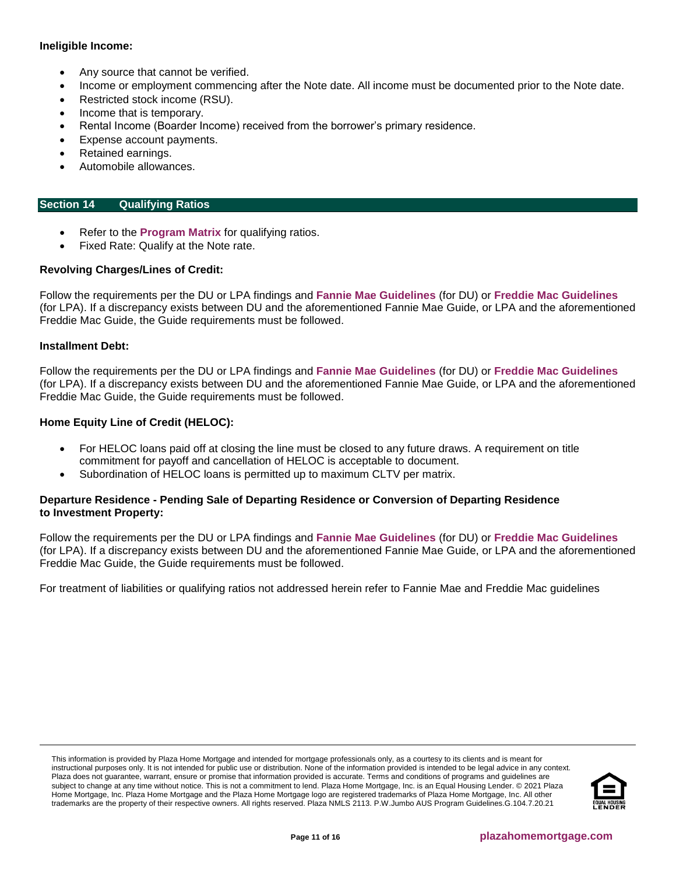## **Ineligible Income:**

- Any source that cannot be verified.
- Income or employment commencing after the Note date. All income must be documented prior to the Note date.
- Restricted stock income (RSU).
- Income that is temporary.
- Rental Income (Boarder Income) received from the borrower's primary residence.
- Expense account payments.
- Retained earnings.
- Automobile allowances.

## <span id="page-10-0"></span>**Section 14 Qualifying Ratios**

- Refer to the **[Program Matrix](#page-1-0)** for qualifying ratios.
- Fixed Rate: Qualify at the Note rate.

## **Revolving Charges/Lines of Credit:**

Follow the requirements per the DU or LPA findings and **[Fannie Mae Guidelines](https://f.hubspotusercontent10.net/hubfs/5238866/Program%20Updates/Fannie%20Mae%20Selling%20Guide%20June%202020_B3-3to3-6.pdf)** (for DU) or **[Freddie Mac Guidelines](https://f.hubspotusercontent10.net/hubfs/5238866/Program%20Updates/Freddie%20Mac%20Seller%20Servicer%20Guide_06.24.20.pdf)** (for LPA). If a discrepancy exists between DU and the aforementioned Fannie Mae Guide, or LPA and the aforementioned Freddie Mac Guide, the Guide requirements must be followed.

#### **Installment Debt:**

Follow the requirements per the DU or LPA findings and **[Fannie Mae Guidelines](https://f.hubspotusercontent10.net/hubfs/5238866/Program%20Updates/Fannie%20Mae%20Selling%20Guide%20June%202020_B3-3to3-6.pdf)** (for DU) or **[Freddie Mac Guidelines](https://f.hubspotusercontent10.net/hubfs/5238866/Program%20Updates/Freddie%20Mac%20Seller%20Servicer%20Guide_06.24.20.pdf)** (for LPA). If a discrepancy exists between DU and the aforementioned Fannie Mae Guide, or LPA and the aforementioned Freddie Mac Guide, the Guide requirements must be followed.

## **Home Equity Line of Credit (HELOC):**

- For HELOC loans paid off at closing the line must be closed to any future draws. A requirement on title commitment for payoff and cancellation of HELOC is acceptable to document.
- Subordination of HELOC loans is permitted up to maximum CLTV per matrix.

## **Departure Residence - Pending Sale of Departing Residence or Conversion of Departing Residence to Investment Property:**

Follow the requirements per the DU or LPA findings and **[Fannie Mae Guidelines](https://f.hubspotusercontent10.net/hubfs/5238866/Program%20Updates/Fannie%20Mae%20Selling%20Guide%20June%202020_B3-3to3-6.pdf)** (for DU) or **[Freddie Mac Guidelines](https://f.hubspotusercontent10.net/hubfs/5238866/Program%20Updates/Freddie%20Mac%20Seller%20Servicer%20Guide_06.24.20.pdf)** (for LPA). If a discrepancy exists between DU and the aforementioned Fannie Mae Guide, or LPA and the aforementioned Freddie Mac Guide, the Guide requirements must be followed.

For treatment of liabilities or qualifying ratios not addressed herein refer to Fannie Mae and Freddie Mac guidelines

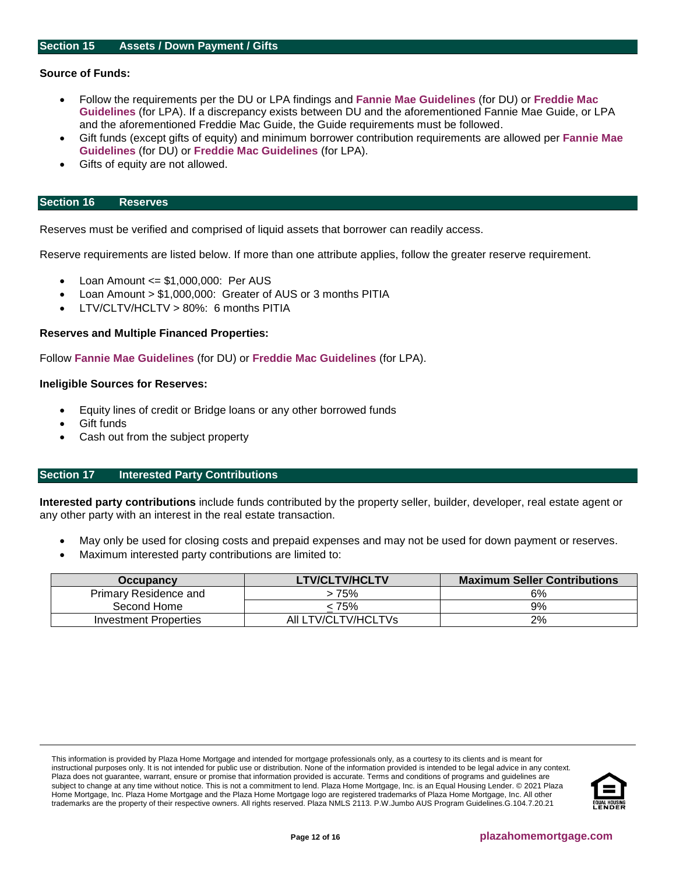## <span id="page-11-0"></span>**Source of Funds:**

- Follow the requirements per the DU or LPA findings and **[Fannie Mae Guidelines](https://f.hubspotusercontent10.net/hubfs/5238866/Program%20Updates/Fannie%20Mae%20Selling%20Guide%20June%202020_B3-3to3-6.pdf)** (for DU) or **[Freddie Mac](https://f.hubspotusercontent10.net/hubfs/5238866/Program%20Updates/Freddie%20Mac%20Seller%20Servicer%20Guide_06.24.20.pdf)  [Guidelines](https://f.hubspotusercontent10.net/hubfs/5238866/Program%20Updates/Freddie%20Mac%20Seller%20Servicer%20Guide_06.24.20.pdf)** (for LPA). If a discrepancy exists between DU and the aforementioned Fannie Mae Guide, or LPA and the aforementioned Freddie Mac Guide, the Guide requirements must be followed.
- Gift funds (except gifts of equity) and minimum borrower contribution requirements are allowed per **[Fannie Mae](https://f.hubspotusercontent10.net/hubfs/5238866/Program%20Updates/Fannie%20Mae%20Selling%20Guide%20June%202020_B3-3to3-6.pdf)  [Guidelines](https://f.hubspotusercontent10.net/hubfs/5238866/Program%20Updates/Fannie%20Mae%20Selling%20Guide%20June%202020_B3-3to3-6.pdf)** (for DU) or **[Freddie Mac Guidelines](https://f.hubspotusercontent10.net/hubfs/5238866/Program%20Updates/Freddie%20Mac%20Seller%20Servicer%20Guide_06.24.20.pdf)** (for LPA).
- Gifts of equity are not allowed.

#### <span id="page-11-1"></span>**Section 16 Reserves**

Reserves must be verified and comprised of liquid assets that borrower can readily access.

Reserve requirements are listed below. If more than one attribute applies, follow the greater reserve requirement.

- Loan Amount <= \$1,000,000: Per AUS
- Loan Amount > \$1,000,000: Greater of AUS or 3 months PITIA
- LTV/CLTV/HCLTV > 80%: 6 months PITIA

#### **Reserves and Multiple Financed Properties:**

Follow **[Fannie Mae Guidelines](https://f.hubspotusercontent10.net/hubfs/5238866/Program%20Updates/Fannie%20Mae%20Selling%20Guide%20June%202020_B3-3to3-6.pdf)** (for DU) or **[Freddie Mac Guidelines](https://f.hubspotusercontent10.net/hubfs/5238866/Program%20Updates/Freddie%20Mac%20Seller%20Servicer%20Guide_06.24.20.pdf)** (for LPA).

#### **Ineligible Sources for Reserves:**

- Equity lines of credit or Bridge loans or any other borrowed funds
- Gift funds
- Cash out from the subject property

## <span id="page-11-2"></span>**Section 17 Interested Party Contributions**

**Interested party contributions** include funds contributed by the property seller, builder, developer, real estate agent or any other party with an interest in the real estate transaction.

- May only be used for closing costs and prepaid expenses and may not be used for down payment or reserves.
- Maximum interested party contributions are limited to:

| Occupancy             | <b>LTV/CLTV/HCLTV</b> | <b>Maximum Seller Contributions</b> |
|-----------------------|-----------------------|-------------------------------------|
| Primary Residence and | > 75%                 | 6%                                  |
| Second Home           | 75% >                 | 9%                                  |
| Investment Properties | All LTV/CLTV/HCLTVs   | 2%                                  |

This information is provided by Plaza Home Mortgage and intended for mortgage professionals only, as a courtesy to its clients and is meant for instructional purposes only. It is not intended for public use or distribution. None of the information provided is intended to be legal advice in any context. Plaza does not guarantee, warrant, ensure or promise that information provided is accurate. Terms and conditions of programs and guidelines are subject to change at any time without notice. This is not a commitment to lend. Plaza Home Mortgage, Inc. is an Equal Housing Lender. © 2021 Plaza Home Mortgage, Inc. Plaza Home Mortgage and the Plaza Home Mortgage logo are registered trademarks of Plaza Home Mortgage, Inc. All other trademarks are the property of their respective owners. All rights reserved. Plaza NMLS 2113. P.W.Jumbo AUS Program Guidelines.G.104.7.20.21

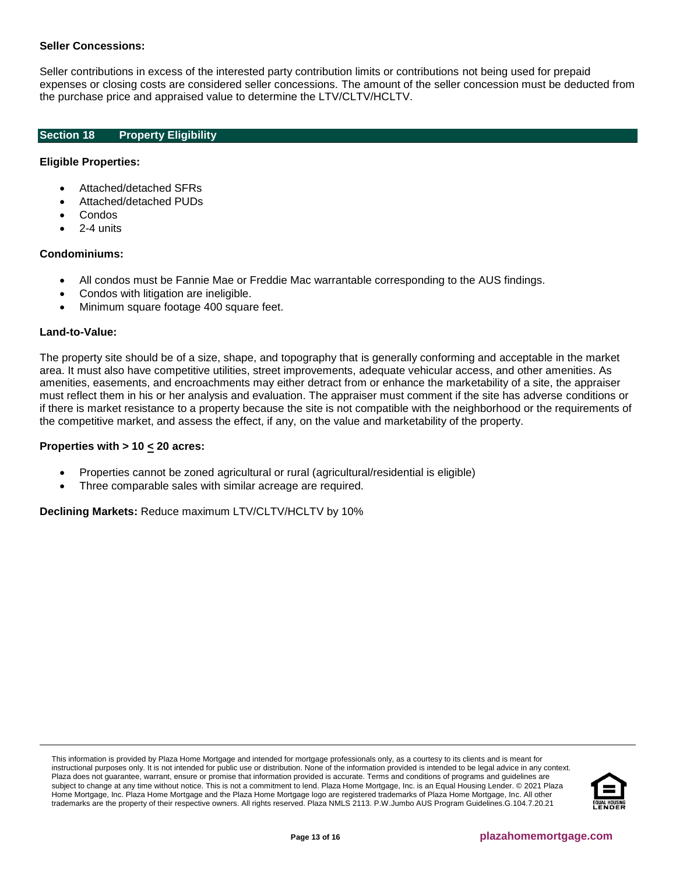## **Seller Concessions:**

Seller contributions in excess of the interested party contribution limits or contributions not being used for prepaid expenses or closing costs are considered seller concessions. The amount of the seller concession must be deducted from the purchase price and appraised value to determine the LTV/CLTV/HCLTV.

## <span id="page-12-0"></span>**Section 18 Property Eligibility**

## **Eligible Properties:**

- Attached/detached SFRs
- Attached/detached PUDs
- Condos
- 2-4 units

## **Condominiums:**

- All condos must be Fannie Mae or Freddie Mac warrantable corresponding to the AUS findings.
- Condos with litigation are ineligible.
- Minimum square footage 400 square feet.

#### **Land-to-Value:**

The property site should be of a size, shape, and topography that is generally conforming and acceptable in the market area. It must also have competitive utilities, street improvements, adequate vehicular access, and other amenities. As amenities, easements, and encroachments may either detract from or enhance the marketability of a site, the appraiser must reflect them in his or her analysis and evaluation. The appraiser must comment if the site has adverse conditions or if there is market resistance to a property because the site is not compatible with the neighborhood or the requirements of the competitive market, and assess the effect, if any, on the value and marketability of the property.

## **Properties with > 10 < 20 acres:**

- Properties cannot be zoned agricultural or rural (agricultural/residential is eligible)
- Three comparable sales with similar acreage are required.

**Declining Markets:** Reduce maximum LTV/CLTV/HCLTV by 10%

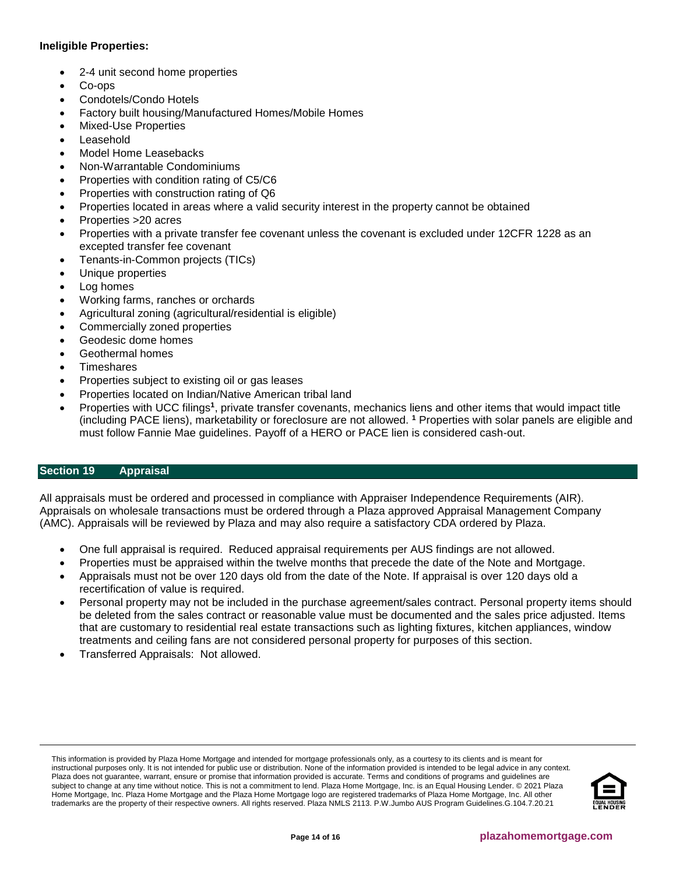# **Ineligible Properties:**

- 2-4 unit second home properties
- Co-ops
- Condotels/Condo Hotels
- Factory built housing/Manufactured Homes/Mobile Homes
- Mixed-Use Properties
- **Leasehold**
- Model Home Leasebacks
- Non-Warrantable Condominiums
- Properties with condition rating of C5/C6
- Properties with construction rating of Q6
- Properties located in areas where a valid security interest in the property cannot be obtained
- Properties >20 acres
- Properties with a private transfer fee covenant unless the covenant is excluded under 12CFR 1228 as an excepted transfer fee covenant
- Tenants-in-Common projects (TICs)
- Unique properties
- Log homes
- Working farms, ranches or orchards
- Agricultural zoning (agricultural/residential is eligible)
- Commercially zoned properties
- Geodesic dome homes
- Geothermal homes
- **Timeshares**
- Properties subject to existing oil or gas leases
- Properties located on Indian/Native American tribal land
- Properties with UCC filings<sup>1</sup>, private transfer covenants, mechanics liens and other items that would impact title (including PACE liens), marketability or foreclosure are not allowed. **<sup>1</sup>** Properties with solar panels are eligible and must follow Fannie Mae guidelines. Payoff of a HERO or PACE lien is considered cash-out.

## <span id="page-13-0"></span>**Section 19 Appraisal**

All appraisals must be ordered and processed in compliance with Appraiser Independence Requirements (AIR). Appraisals on wholesale transactions must be ordered through a Plaza approved Appraisal Management Company (AMC). Appraisals will be reviewed by Plaza and may also require a satisfactory CDA ordered by Plaza.

- One full appraisal is required. Reduced appraisal requirements per AUS findings are not allowed.
- Properties must be appraised within the twelve months that precede the date of the Note and Mortgage.
- Appraisals must not be over 120 days old from the date of the Note. If appraisal is over 120 days old a recertification of value is required.
- Personal property may not be included in the purchase agreement/sales contract. Personal property items should be deleted from the sales contract or reasonable value must be documented and the sales price adjusted. Items that are customary to residential real estate transactions such as lighting fixtures, kitchen appliances, window treatments and ceiling fans are not considered personal property for purposes of this section.
- Transferred Appraisals: Not allowed.

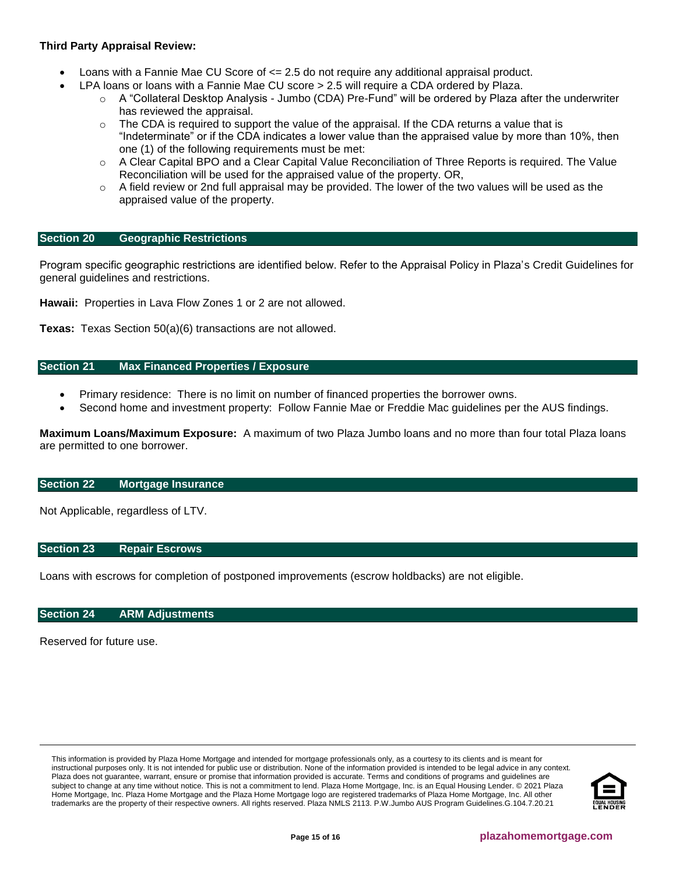# **Third Party Appraisal Review:**

- Loans with a Fannie Mae CU Score of <= 2.5 do not require any additional appraisal product.
	- LPA loans or loans with a Fannie Mae CU score > 2.5 will require a CDA ordered by Plaza.
		- o A "Collateral Desktop Analysis Jumbo (CDA) Pre-Fund" will be ordered by Plaza after the underwriter has reviewed the appraisal.
		- $\circ$  The CDA is required to support the value of the appraisal. If the CDA returns a value that is "Indeterminate" or if the CDA indicates a lower value than the appraised value by more than 10%, then one (1) of the following requirements must be met:
		- $\circ$  A Clear Capital BPO and a Clear Capital Value Reconciliation of Three Reports is required. The Value Reconciliation will be used for the appraised value of the property. OR,
		- $\circ$  A field review or 2nd full appraisal may be provided. The lower of the two values will be used as the appraised value of the property.

## <span id="page-14-4"></span>**Section 20 Geographic Restrictions**

Program specific geographic restrictions are identified below. Refer to the Appraisal Policy in Plaza's Credit Guidelines for general guidelines and restrictions.

**Hawaii:** Properties in Lava Flow Zones 1 or 2 are not allowed.

**Texas:** Texas Section 50(a)(6) transactions are not allowed.

## <span id="page-14-0"></span>**Section 21 Max Financed Properties / Exposure**

- Primary residence: There is no limit on number of financed properties the borrower owns.
- Second home and investment property: Follow Fannie Mae or Freddie Mac guidelines per the AUS findings.

**Maximum Loans/Maximum Exposure:** A maximum of two Plaza Jumbo loans and no more than four total Plaza loans are permitted to one borrower.

#### <span id="page-14-1"></span>**Section 22 Mortgage Insurance**

Not Applicable, regardless of LTV.

#### <span id="page-14-2"></span>**Section 23 Repair Escrows**

Loans with escrows for completion of postponed improvements (escrow holdbacks) are not eligible.

#### <span id="page-14-3"></span>**Section 24 ARM Adjustments**

Reserved for future use.